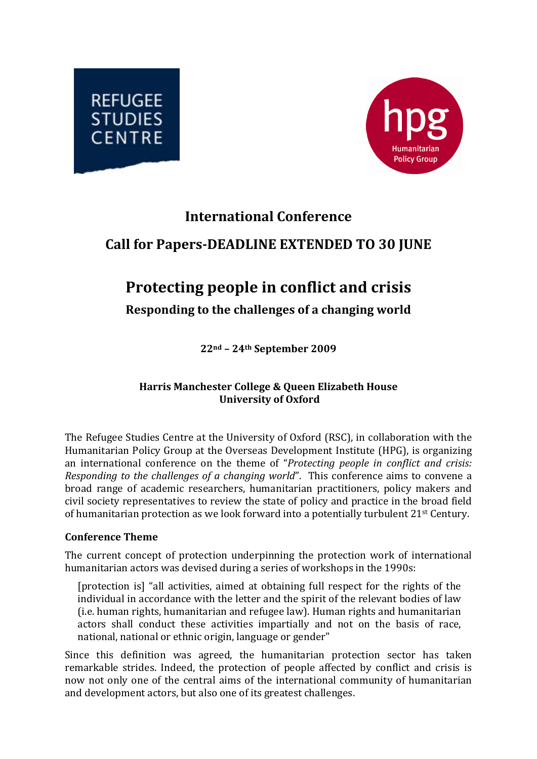



## **International Conference**

# **Call for PapersDEADLINE EXTENDED TO 30 JUNE**

# **Protecting people in conflict and crisis**

**Responding to the challenges of a changing world** 

**22nd – 24th September 2009**

## **Harris Manchester College & Queen Elizabeth House University of Oxford**

The Refugee Studies Centre at the University of Oxford (RSC), in collaboration with the Humanitarian Policy Group at the Overseas Development Institute (HPG), is organizing an international conference on the theme of "*Protecting people in conflict and crisis: Responding to the challenges of a changing world*". This conference aims to convene a broad range of academic researchers, humanitarian practitioners, policy makers and civil society representatives to review the state of policy and practice in the broad field of humanitarian protection as we look forward into a potentially turbulent 21st Century.

## **Conference Theme**

The current concept of protection underpinning the protection work of international hu manitarian actors was devised during a series of workshops in the 1990s:

[protection is] "all activities, aimed at obtaining full respect for the rights of the individual in accordance with the letter and the spirit of the relevant bodies of law (i.e. human rights, humanitarian and refugee law). Human rights and humanitarian actors shall conduct these activities impartially and not on the basis of race, national, national or ethnic origin, language or gender"

Since this definition was agreed, the humanitarian protection sector has taken remarkable strides. Indeed, the protection of people affected by conflict and crisis is now not only one of the central aims of the international community of humanitarian and development actors, but also one of its greatest challenges.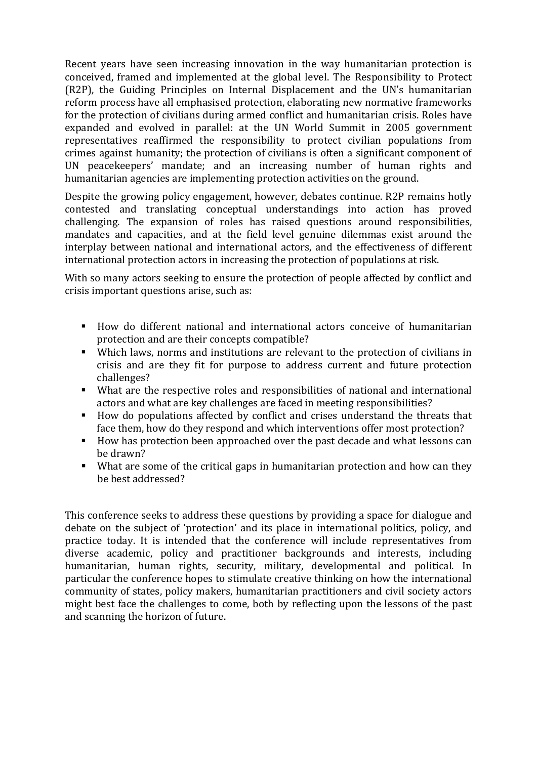Recent years have seen increasing innovation in the way humanitarian protection is conceived, framed and implemented at the global level. The Responsibility to Protect (R2P), the Guiding Principles on Internal Displacement and the UN's humanitarian reform process have all emphasised protection, elaborating new normative frameworks for the protection of civilians during armed conflict and humanitarian crisis. Roles have expanded and evolved in parallel: at the UN World Summit in 2005 government representatives reaffirmed the responsibility to protect civilian populations from crimes against humanity; the protection of civilians is often a significant component of UN peacekeepers' mandate; and an increasing number of human rights and humanitarian agencies are implementing protection activities on the ground.

Despite the growing policy engagement, however, debates continue. R2P remains hotly contested and translating conceptual understandings into action has proved challenging. The expansion of roles has raised questions around responsibilities, mandates and capacities, and at the field level genuine dilemmas exist around the interplay between national and international actors, and the effectiveness of different international protection actors in increasing the protection of populations at risk.

With so many actors seeking to ensure the protection of people affected by conflict and crisis important questions arise, such as:

- How do different national and international actors conceive of humanitarian protection and are their concepts compatible?
- Which laws, norms and institutions are relevant to the protection of civilians in crisis and are they fit for purpose to address current and future protection challenges?
- What are the respective roles and responsibilities of national and international actors and what are key challenges are faced in meeting responsibilities?
- How do populations affected by conflict and crises understand the threats that face them, how do they respond and which interventions offer most protection?
- How has protection been approached over the past decade and what lessons can be drawn?
- What are some of the critical gaps in humanitarian protection and how can they be best addressed?

This conference seeks to address these questions by providing a space for dialogue and debate on the subject of 'protection' and its place in international politics, policy, and practice today. It is intended that the conference will include representatives from diverse academic, policy and practitioner backgrounds and interests, including humanitarian, human rights, security, military, developmental and political. In particular the conference hopes to stimulate creative thinking on how the international community of states, policy makers, humanitarian practitioners and civil society actors might best face the challenges to come, both by reflecting upon the lessons of the past and scanning the horizon of future.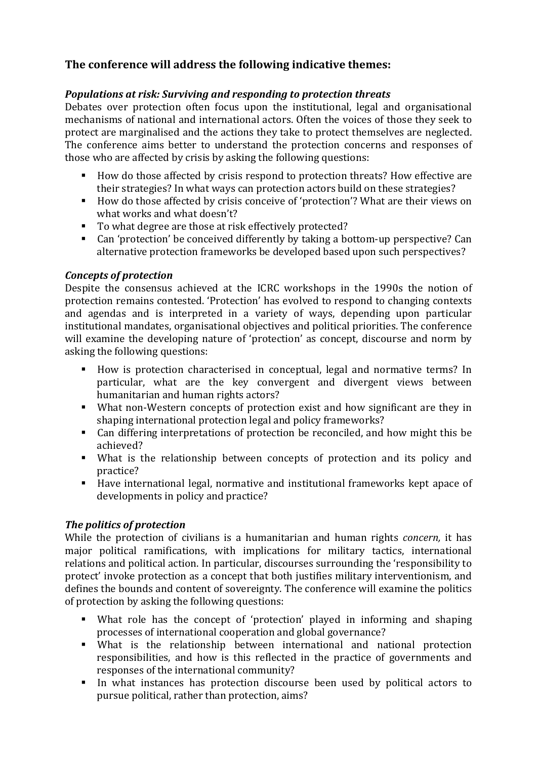## **The conference will address the following indicative themes:**

## *Populations at risk: Surviving and responding to protection threats*

Debates over protection often focus upon the institutional, legal and organisational mechanisms of national and international actors. Often the voices of those they seek to protect are marginalised and the actions they take to protect themselves are neglected. The conference aims better to understand the protection concerns and responses of those who are affected by crisis by asking the following questions:

- How do those affected by crisis respond to protection threats? How effective are their strategies? In what ways can protection actors build on these strategies?
- How do those affected by crisis conceive of 'protection'? What are their views on what works and what doesn't?
- To what degree are those at risk effectively protected?
- Can 'protection' be conceived differently by taking a bottom-up perspective? Can alternative protection frameworks be developed based upon such perspectives?

## *Concepts of protection*

Despite the consensus achieved at the ICRC workshops in the 1990s the notion of protection remains contested. 'Protection' has evolved to respond to changing contexts and agendas and is interpreted in a variety of ways, depending upon particular institutional mandates, organisational objectives and political priorities. The conference will examine the developing nature of 'protection' as concept, discourse and norm by asking the following questions:

- How is protection characterised in conceptual, legal and normative terms? In particular, what are the key convergent and divergent views between humanitarian and human rights actors?
- What non-Western concepts of protection exist and how significant are they in shaping international protection legal and policy frameworks?
- Can differing interpretations of protection be reconciled, and how might this be achieved?
- What is the relationship between concepts of protection and its policy and practice?
- Have international legal, normative and institutional frameworks kept apace of developments in policy and practice?

## *The politics of protection*

While the protection of civilians is a humanitarian and human rights *concern,* it has major political ramifications, with implications for military tactics, international relations and political action. In particular, discourses surrounding the 'responsibility to protect' invoke protection as a concept that both justifies military interventionism, and defines the bounds and content of sovereignty. The conference will examine the politics of protection by asking the following questions:

- What role has the concept of 'protection' played in informing and shaping processes of international cooperation and global governance?
- What is the relationship between international and national protection responsibilities, and how is this reflected in the practice of governments and responses of the international community?
- In what instances has protection discourse been used by political actors to pursue political, rather than protection, aims?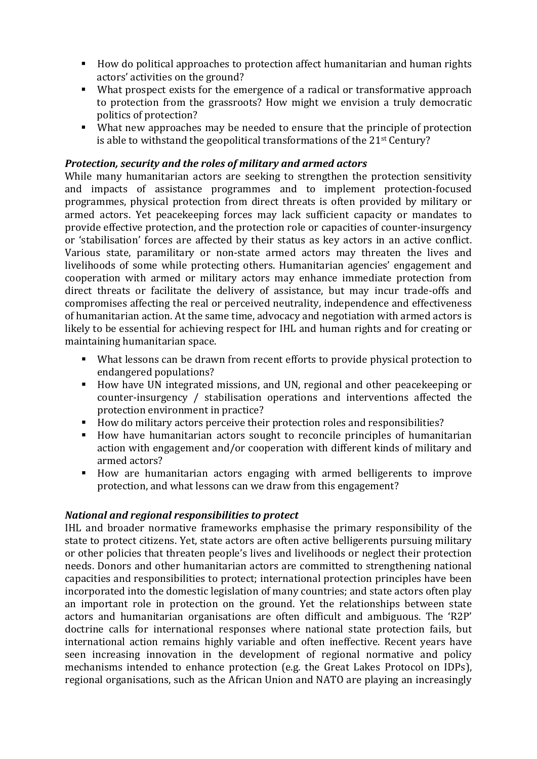- How do political approaches to protection affect humanitarian and human rights actors' activities on the ground?
- What prospect exists for the emergence of a radical or transformative approach to protection from the grassroots? How might we envision a truly democratic politics of protection?
- What new approaches may be needed to ensure that the principle of protection is able to withstand the geopolitical transformations of the 21st Century?

#### *Protection, security and the roles of military and armed actors*

While many humanitarian actors are seeking to strengthen the protection sensitivity and impacts of assistance programmes and to implement protection‐focused programmes, physical protection from direct threats is often provided by military or armed actors. Yet peacekeeping forces may lack sufficient capacity or mandates to provide effective protection, and the protection role or capacities of counter‐insurgency or 'stabilisation' forces are affected by their status as key actors in an active conflict. Various state, paramilitary or non‐state armed actors may threaten the lives and livelihoods of some while protecting others. Humanitarian agencies' engagement and cooperation with armed or military actors may enhance immediate protection from direct threats or facilitate the delivery of assistance, but may incur trade‐offs and compromises affecting the real or perceived neutrality, independence and effectiveness of humanitarian action. At the same time, advocacy and negotiation with armed actors is likely to be essential for achieving respect for IHL and human rights and for creating or maintaining humanitarian space.

- What lessons can be drawn from recent efforts to provide physical protection to endangered populations?
- How have UN integrated missions, and UN, regional and other peacekeeping or counter-insurgency / stabilisation operations and interventions affected the protection environment in practice?
- $\mathbf{r}$ How do military actors perceive their protection roles and responsibilities?
- How have humanitarian actors sought to reconcile principles of humanitarian action with engagement and/or cooperation with different kinds of military and armed actors?
- How are humanitarian actors engaging with armed belligerents to improve protection, and what lessons can we draw from this engagement?

#### *National and regional responsibilities to protect*

IHL and broader normative frameworks emphasise the primary responsibility of the state to protect citizens. Yet, state actors are often active belligerents pursuing military or other policies that threaten people's lives and livelihoods or neglect their protection needs. Donors and other humanitarian actors are committed to strengthening national capacities and responsibilities to protect; international protection principles have been incorporated into the domestic legislation of many countries; and state actors often play an important role in protection on the ground. Yet the relationships between state actors and humanitarian organisations are often difficult and ambiguous. The 'R2P' doctrine calls for international responses where national state protection fails, but international action remains highly variable and often ineffective. Recent years have seen increasing innovation in the development of regional normative and policy mechanisms intended to enhance protection (e.g. the Great Lakes Protocol on IDPs), regional organisations, such as the African Union and NATO are playing an increasingly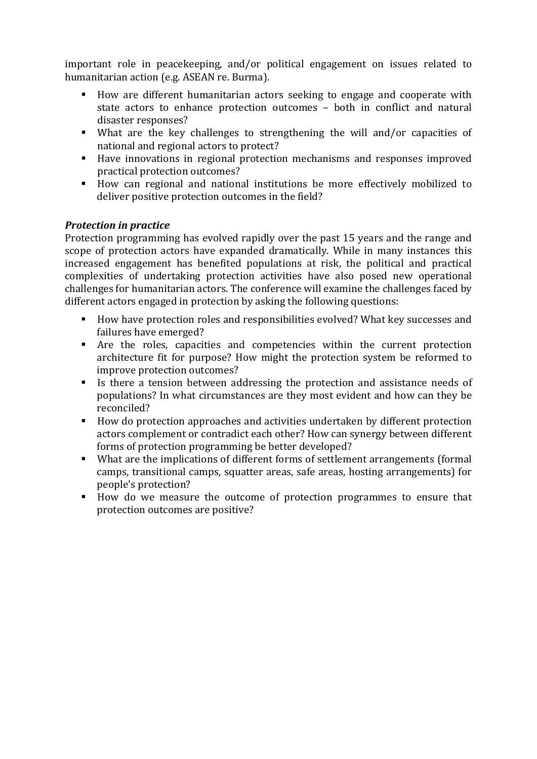import ant role in peacekeeping, and/or political engagement on issues related to human itarian action (e.g. ASEAN re. Burma).

- How are different humanitarian actors seeking to engage and cooperate with state actors to enhance protection outcomes – both in conflict and natural disaster responses?
- What are the key challenges to strengthening the will and/or capacities of national and regional actors to protect?
- Have innovations in regional protection mechanisms and responses improved practical protection outcomes?
- How can regional and national institutions be more effectively mobilized to deliver positive protection outcomes in the field?

## *Protection in practice*

Protection programming has evolved rapidly over the past 15 years and the range and scope of protection actors have expanded dramatically. While in many instances this increased engagement has benefited populations at risk, the political and practical complexities of undertaking protection activities have also posed new operational challenges for humanitarian actors. The conference will examine the challenges faced by different actors engaged in protection by asking the following questions:

- How have protection roles and responsibilities evolved? What key successes and failures have emerged?
- Are the roles, capacities and competencies within the current protection architecture fit for purpose? How might the protection system be reformed to improve protection outcomes?
- If Is there a tension between addressing the protection and assistance needs of populations? In what circumstances are they most evident and how can they be reconciled?
- How do protection approaches and activities undertaken by different protection actors complement or contradict each other? How can synergy between different forms of protection programming be better developed?
- What are the implications of different forms of settlement arrangements (formal camps, transitional camps, squatter areas, safe areas, hosting arrangements) for people's protection?
- How do we measure the outcome of protection programmes to ensure that protection outcomes are positive?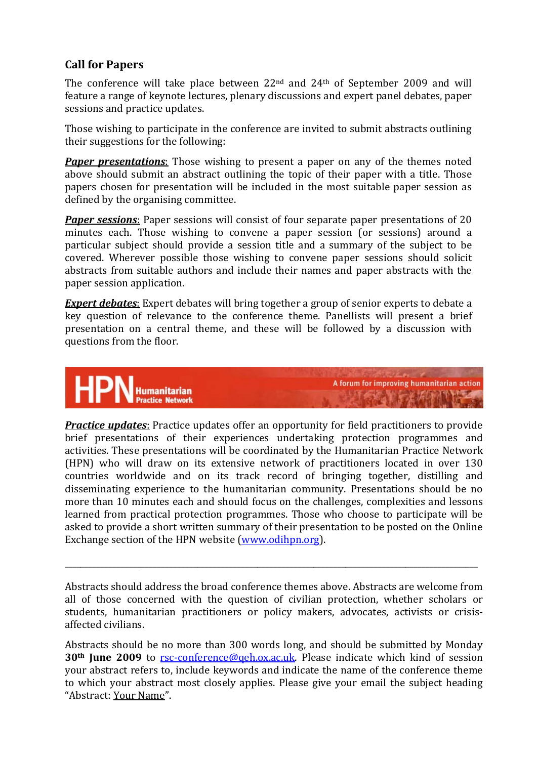## **Call for Papers**

The conference will take place between 22<sup>nd</sup> and 24<sup>th</sup> of September 2009 and will feature a range of keynote lectures, plenary discussions and expert panel debates, paper sessions and practice updates.

Those wishing to participate in the conference are invited to submit abstracts outlining their suggestions for the following:

*Paper presentations:* Those wishing to present a paper on any of the themes noted above should submit an abstract outlining the topic of their paper with a title. Those papers chosen for presentation will be included in the most suitable paper session as defined by the organising committee.

*Paper sessions:* Paper sessions will consist of four separate paper presentations of 20 minutes each. Those wishing to convene a paper session (or sessions) around a particular subject should provide a session title and a summary of the subject to be covered. Wherever possible those wishing to convene paper sessions should solicit abstracts from suitable authors and include their names and paper abstracts with the paper session application.

*Expert debates*: Expert debates will bring together a group of senior experts to debate a key question of relevance to the conference theme. Panellists will present a brief presentation on a central theme, and these will be followed by a discussion with questions from the floor.



A forum for improving humanitarian action

*Practice updates*: Practice updates offer an opportunity for field practitioners to provide brief presentations of their experiences undertaking protection programmes and activities. These presentations will be coordinated by the Humanitarian Practice Network (HPN) who will draw on its extensive network of practitioners located in over 130 countries worldwide and on its track record of bringing together, distilling and disseminating experience to the humanitarian community. Presentations should be no more than 10 minutes each and should focus on the challenges, complexities and lessons learned from practical protection programmes. Those who choose to participate will be asked to provide a short written summary of their presentation to be posted on the Online Exchange section of the HPN website (www.odihpn.org).

Abstracts should address the broad conference themes above. Abstracts are welcome from all of those concerned with the question of civilian protection, whether scholars or students, humanitarian practitioners or policy makers, advocates, activists or crisisaffected civilians.

\_\_\_\_\_\_\_\_\_\_\_\_\_\_\_\_\_\_\_\_\_\_\_\_\_\_\_\_\_\_\_\_\_\_\_\_\_\_\_\_\_\_\_\_\_\_\_\_\_\_\_\_\_\_\_\_\_\_\_\_\_\_\_\_\_\_\_\_\_\_\_\_\_\_\_\_\_\_\_\_\_\_\_\_\_\_\_\_\_\_\_\_\_\_\_\_\_\_\_\_\_\_\_

Abstracts should be no more than 300 words long, and should be submitted by Monday **30<sup>th</sup> June 2009** to rsc-conference@geh.ox.ac.uk. Please indicate which kind of session your abstract refers [to, include keywords and ind](mailto:rsc-conference@qeh.ox.ac.uk)icate the name of the conference theme to which your abstract most closely applies. Please give your email the subject heading "Abstract: Your Name".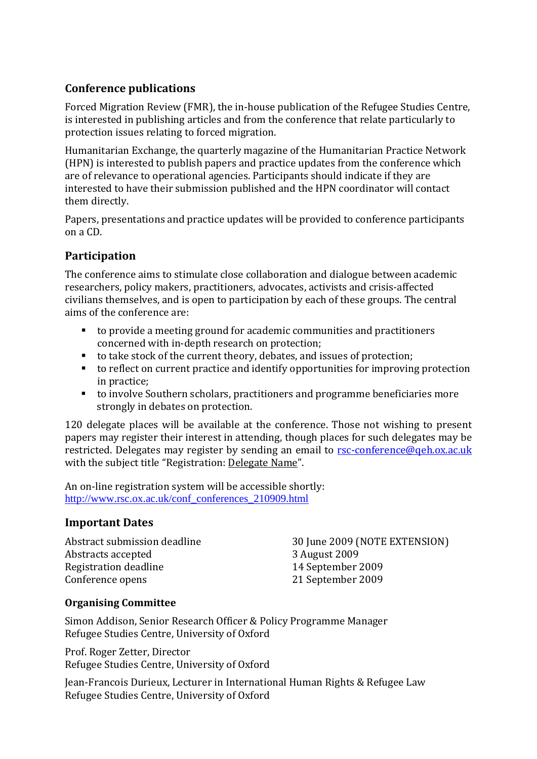## **Conference publications**

Forced Migration Review (FMR), the in‐house publication of the Refugee Studies Centre, is interested in publishing articles and from the conference that relate particularly to protection issues relating to forced migration.

Humanitarian Exchange, the quarterly magazine of the Humanitarian Practice Network (HPN) is interested to publish papers and practice updates from the conference which are of relevance to operational agencies. Participants should indicate if they are interested to have their submission published and the HPN coordinator will contact them directly.

Papers, presentations and practice updates will be provided to conference participants on a CD.

## **Participation**

The conference aims to stimulate close collaboration and dialogue between academic researchers, policy makers, practitioners, advocates, activists and crisis‐affected civilians themselves, and is open to participation by each of these groups. The central aims of the conference are:

- to provide a meeting ground for academic communities and practitioners concerned with in‐depth research on protection;
- to take stock of the current theory, debates, and issues of protection;
- to reflect on current practice and identify opportunities for improving protection in practice;
- to involve Southern scholars, practitioners and programme beneficiaries more strongly in debates on protection.

120 delegate places will be available at the conference. Those not wishing to present papers may register their interest in attending, though pla[ces for such delegates may be](mailto:rsc-conference@qeh.ox.ac.uk) restricted. Delegates may register by sending an email to rsc-conference@geh.ox.ac.uk with the subject title "Registration: Delegate Name".

An on-line registration system will be accessible sho[rt](http://www.rsc.ox.ac.uk/conf_conferences_210909.html)ly: [http://www.rsc.ox.ac.uk/conf\\_conferences\\_210909.html](http://www.rsc.ox.ac.uk/conf_conferences_210909.html)

## **Important Dates**

Abstracts accepted 3 August 2009 Registration deadline 14 September 2009 Conference opens 21 September 2009

Abstract submission deadline 30 June 2009 (NOTE EXTENSION)

## **Organising Committee**

Simon Addison, Senior Research Officer & Policy Programme Manager Refugee Studies Centre, University of Oxford

Prof. Roger Zetter, Director Refugee Studies Centre, University of Oxford

Jean-Francois Durieux, Lecturer in International Human Rights & Refugee Law Refugee Studies Centre, University of Oxford